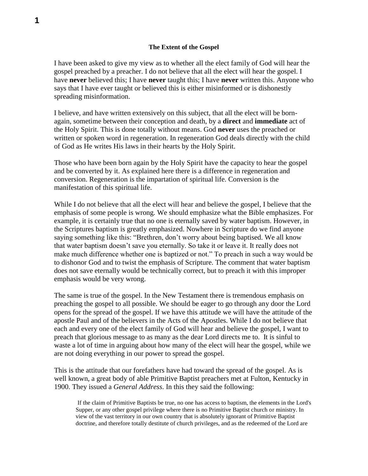I have been asked to give my view as to whether all the elect family of God will hear the gospel preached by a preacher. I do not believe that all the elect will hear the gospel. I have **never** believed this; I have **never** taught this; I have **never** written this. Anyone who says that I have ever taught or believed this is either misinformed or is dishonestly spreading misinformation.

I believe, and have written extensively on this subject, that all the elect will be bornagain, sometime between their conception and death, by a **direct** and **immediate** act of the Holy Spirit. This is done totally without means. God **never** uses the preached or written or spoken word in regeneration. In regeneration God deals directly with the child of God as He writes His laws in their hearts by the Holy Spirit.

Those who have been born again by the Holy Spirit have the capacity to hear the gospel and be converted by it. As explained here there is a difference in regeneration and conversion. Regeneration is the impartation of spiritual life. Conversion is the manifestation of this spiritual life.

While I do not believe that all the elect will hear and believe the gospel, I believe that the emphasis of some people is wrong. We should emphasize what the Bible emphasizes. For example, it is certainly true that no one is eternally saved by water baptism. However, in the Scriptures baptism is greatly emphasized. Nowhere in Scripture do we find anyone saying something like this: "Brethren, don't worry about being baptised. We all know that water baptism doesn't save you eternally. So take it or leave it. It really does not make much difference whether one is baptized or not." To preach in such a way would be to dishonor God and to twist the emphasis of Scripture. The comment that water baptism does not save eternally would be technically correct, but to preach it with this improper emphasis would be very wrong.

The same is true of the gospel. In the New Testament there is tremendous emphasis on preaching the gospel to all possible. We should be eager to go through any door the Lord opens for the spread of the gospel. If we have this attitude we will have the attitude of the apostle Paul and of the believers in the Acts of the Apostles. While I do not believe that each and every one of the elect family of God will hear and believe the gospel, I want to preach that glorious message to as many as the dear Lord directs me to. It is sinful to waste a lot of time in arguing about how many of the elect will hear the gospel, while we are not doing everything in our power to spread the gospel.

This is the attitude that our forefathers have had toward the spread of the gospel. As is well known, a great body of able Primitive Baptist preachers met at Fulton, Kentucky in 1900. They issued a *General Address*. In this they said the following:

If the claim of Primitive Baptists be true, no one has access to baptism, the elements in the Lord's Supper, or any other gospel privilege where there is no Primitive Baptist church or ministry. In view of the vast territory in our own country that is absolutely ignorant of Primitive Baptist doctrine, and therefore totally destitute of church privileges, and as the redeemed of the Lord are